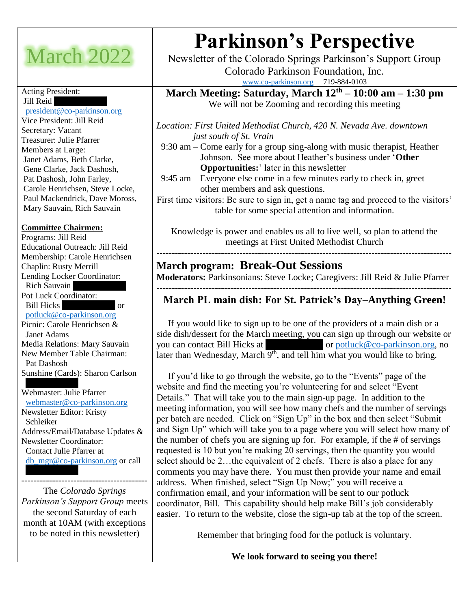## March 2022

#### Acting President: Jill Reid

 [president@co-parkinson.org](mailto:president@co-parkinson.org) Vice President: Jill Reid Secretary: Vacant Treasurer: Julie Pfarrer Members at Large: Janet Adams, Beth Clarke, Gene Clarke, Jack Dashosh, Pat Dashosh, John Farley, Carole Henrichsen, Steve Locke, Paul Mackendrick, Dave Moross, Mary Sauvain, Rich Sauvain

#### **Committee Chairmen:**

Programs: Jill Reid Educational Outreach: Jill Reid Membership: Carole Henrichsen Chaplin: Rusty Merrill Lending Locker Coordinator: Rich Sauvain Pot Luck Coordinator: Bill Hicks or [potluck@co-parkinson.org](mailto:potluck@co-parkinson.org) Picnic: Carole Henrichsen & Janet Adams Media Relations: Mary Sauvain New Member Table Chairman: Pat Dashosh Sunshine (Cards): Sharon Carlson

 (719) 597-2355 Webmaster: Julie Pfarrer [webmaster@co-parkinson.org](mailto:webmaster@co-parkinson.org) Newsletter Editor: Kristy Schleiker Address/Email/Database Updates & Newsletter Coordinator: Contact Julie Pfarrer at [db\\_mgr@co-parkinson.org](mailto:db_mgr@co-parkinson.org) or call

The *Colorado Springs Parkinson's Support Group* meets the second Saturday of each month at 10AM (with exceptions to be noted in this newsletter)

-----------------------------------------

# **Parkinson's Perspective**

Newsletter of the Colorado Springs Parkinson's Support Group Colorado Parkinson Foundation, Inc.

[www.co-parkinson.org](http://www.co-parkinson.org/) 719-884-0103

**March Meeting: Saturday, March 12th – 10:00 am – 1:30 pm** We will not be Zooming and recording this meeting

*Location: First United Methodist Church, 420 N. Nevada Ave. downtown just south of St. Vrain*

 9:30 am – Come early for a group sing-along with music therapist, Heather Johnson. See more about Heather's business under '**Other Opportunities:**' later in this newsletter

 9:45 am – Everyone else come in a few minutes early to check in, greet other members and ask questions.

First time visitors: Be sure to sign in, get a name tag and proceed to the visitors' table for some special attention and information.

Knowledge is power and enables us all to live well, so plan to attend the meetings at First United Methodist Church

**------------------------------------------------------------------------------------------------**

#### **March program: Break-Out Sessions**

**Moderators:** Parkinsonians: Steve Locke; Caregivers: Jill Reid & Julie Pfarrer ------------------------------------------------------------------------------------------------

## **March PL main dish: For St. Patrick's Day–Anything Green!**

 If you would like to sign up to be one of the providers of a main dish or a side dish/dessert for the March meeting, you can sign up through our website or you can contact Bill Hicks at  $\qquad \qquad$  or [potluck@co-parkinson.org,](mailto:potluck@co-parkinson.org) no later than Wednesday, March  $9<sup>th</sup>$ , and tell him what you would like to bring.

 If you'd like to go through the website, go to the "Events" page of the website and find the meeting you're volunteering for and select "Event Details." That will take you to the main sign-up page. In addition to the meeting information, you will see how many chefs and the number of servings per batch are needed. Click on "Sign Up" in the box and then select "Submit and Sign Up" which will take you to a page where you will select how many of the number of chefs you are signing up for. For example, if the # of servings requested is 10 but you're making 20 servings, then the quantity you would select should be 2…the equivalent of 2 chefs. There is also a place for any comments you may have there. You must then provide your name and email address. When finished, select "Sign Up Now;" you will receive a confirmation email, and your information will be sent to our potluck coordinator, Bill. This capability should help make Bill's job considerably easier. To return to the website, close the sign-up tab at the top of the screen.

Remember that bringing food for the potluck is voluntary.

**We look forward to seeing you there!**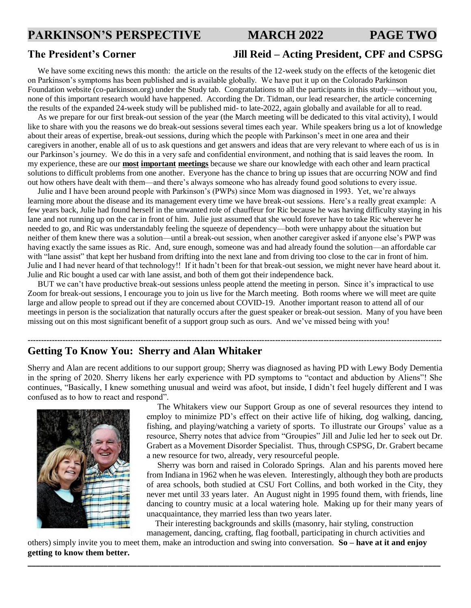#### **PARKINSON'S PERSPECTIVE MARCH 2022 PAGE TWO**

#### **The President's Corner Jill Reid – Acting President, CPF and CSPSG**

We have some exciting news this month: the article on the results of the 12-week study on the effects of the ketogenic diet on Parkinson's symptoms has been published and is available globally. We have put it up on the Colorado Parkinson Foundation website (co-parkinson.org) under the Study tab. Congratulations to all the participants in this study—without you, none of this important research would have happened. According the Dr. Tidman, our lead researcher, the article concerning the results of the expanded 24-week study will be published mid- to late-2022, again globally and available for all to read.

 As we prepare for our first break-out session of the year (the March meeting will be dedicated to this vital activity), I would like to share with you the reasons we do break-out sessions several times each year. While speakers bring us a lot of knowledge about their areas of expertise, break-out sessions, during which the people with Parkinson's meet in one area and their caregivers in another, enable all of us to ask questions and get answers and ideas that are very relevant to where each of us is in our Parkinson's journey. We do this in a very safe and confidential environment, and nothing that is said leaves the room. In my experience, these are our **most important meetings** because we share our knowledge with each other and learn practical solutions to difficult problems from one another. Everyone has the chance to bring up issues that are occurring NOW and find out how others have dealt with them—and there's always someone who has already found good solutions to every issue.

 Julie and I have been around people with Parkinson's (PWPs) since Mom was diagnosed in 1993. Yet, we're always learning more about the disease and its management every time we have break-out sessions. Here's a really great example: A few years back, Julie had found herself in the unwanted role of chauffeur for Ric because he was having difficulty staying in his lane and not running up on the car in front of him. Julie just assumed that she would forever have to take Ric wherever he needed to go, and Ric was understandably feeling the squeeze of dependency—both were unhappy about the situation but neither of them knew there was a solution—until a break-out session, when another caregiver asked if anyone else's PWP was having exactly the same issues as Ric. And, sure enough, someone was and had already found the solution—an affordable car with "lane assist" that kept her husband from drifting into the next lane and from driving too close to the car in front of him. Julie and I had never heard of that technology!! If it hadn't been for that break-out session, we might never have heard about it. Julie and Ric bought a used car with lane assist, and both of them got their independence back.

 BUT we can't have productive break-out sessions unless people attend the meeting in person. Since it's impractical to use Zoom for break-out sessions, I encourage you to join us live for the March meeting. Both rooms where we will meet are quite large and allow people to spread out if they are concerned about COVID-19. Another important reason to attend all of our meetings in person is the socialization that naturally occurs after the guest speaker or break-out session. Many of you have been missing out on this most significant benefit of a support group such as ours. And we've missed being with you!

**----------------------------------------------------------------------------------------------------------------------------------------------------------**

#### **Getting To Know You: Sherry and Alan Whitaker**

Sherry and Alan are recent additions to our support group; Sherry was diagnosed as having PD with Lewy Body Dementia in the spring of 2020. Sherry likens her early experience with PD symptoms to "contact and abduction by Aliens"! She continues, "Basically, I knew something unusual and weird was afoot, but inside, I didn't feel hugely different and I was confused as to how to react and respond".



 The Whitakers view our Support Group as one of several resources they intend to employ to minimize PD's effect on their active life of hiking, dog walking, dancing, fishing, and playing/watching a variety of sports. To illustrate our Groups' value as a resource, Sherry notes that advice from "Groupies" Jill and Julie led her to seek out Dr. Grabert as a Movement Disorder Specialist. Thus, through CSPSG, Dr. Grabert became a new resource for two, already, very resourceful people.

 Sherry was born and raised in Colorado Springs. Alan and his parents moved here from Indiana in 1962 when he was eleven. Interestingly, although they both are products of area schools, both studied at CSU Fort Collins, and both worked in the City, they never met until 33 years later. An August night in 1995 found them, with friends, line dancing to country music at a local watering hole. Making up for their many years of unacquaintance, they married less than two years later.

 Their interesting backgrounds and skills (masonry, hair styling, construction management, dancing, crafting, flag football, participating in church activities and

others) simply invite you to meet them, make an introduction and swing into conversation. **So – have at it and enjoy getting to know them better.**

**\_\_\_\_\_\_\_\_\_\_\_\_\_\_\_\_\_\_\_\_\_\_\_\_\_\_\_\_\_\_\_\_\_\_\_\_\_\_\_\_\_\_\_\_\_\_\_\_\_\_\_\_\_\_\_\_\_\_\_\_\_\_\_\_\_\_\_\_\_\_\_\_\_\_\_\_\_\_\_\_\_\_\_\_\_\_\_\_\_\_\_\_\_\_\_\_\_\_**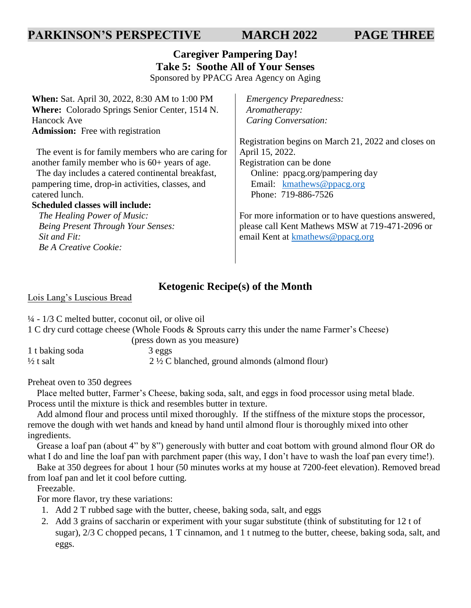#### **PARKINSON'S PERSPECTIVE MARCH 2022 PAGE THREE**

## **Caregiver Pampering Day! Take 5: Soothe All of Your Senses**

Sponsored by PPACG Area Agency on Aging

**When:** Sat. April 30, 2022, 8:30 AM to 1:00 PM **Where:** Colorado Springs Senior Center, 1514 N. Hancock Ave **Admission:** Free with registration

 The event is for family members who are caring for another family member who is 60+ years of age.

 The day includes a catered continental breakfast, pampering time, drop-in activities, classes, and catered lunch.

#### **Scheduled classes will include:**

 *The Healing Power of Music: Being Present Through Your Senses: Sit and Fit: Be A Creative Cookie:*

 *Emergency Preparedness: Aromatherapy: Caring Conversation:*

Registration begins on March 21, 2022 and closes on April 15, 2022. Registration can be done Online: ppacg.org/pampering day Email: [kmathews@ppacg.org](mailto:kmathews@ppacg.org) Phone: 719-886-7526

For more information or to have questions answered, please call Kent Mathews MSW at 719-471-2096 or email Kent at [kmathews@ppacg.org](mailto:kmathews@ppacg.org)

#### **Ketogenic Recipe(s) of the Month**

Lois Lang's Luscious Bread

¼ - 1/3 C melted butter, coconut oil, or olive oil

1 C dry curd cottage cheese (Whole Foods & Sprouts carry this under the name Farmer's Cheese)

| (press down as you measure) |                                                          |  |  |
|-----------------------------|----------------------------------------------------------|--|--|
| 1 t baking soda             | 3 eggs                                                   |  |  |
| ½ t salt                    | $2\frac{1}{2}$ C blanched, ground almonds (almond flour) |  |  |

Preheat oven to 350 degrees

 Place melted butter, Farmer's Cheese, baking soda, salt, and eggs in food processor using metal blade. Process until the mixture is thick and resembles butter in texture.

 Add almond flour and process until mixed thoroughly. If the stiffness of the mixture stops the processor, remove the dough with wet hands and knead by hand until almond flour is thoroughly mixed into other ingredients.

 Grease a loaf pan (about 4" by 8") generously with butter and coat bottom with ground almond flour OR do what I do and line the loaf pan with parchment paper (this way, I don't have to wash the loaf pan every time!).

 Bake at 350 degrees for about 1 hour (50 minutes works at my house at 7200-feet elevation). Removed bread from loaf pan and let it cool before cutting.

Freezable.

For more flavor, try these variations:

- 1. Add 2 T rubbed sage with the butter, cheese, baking soda, salt, and eggs
- 2. Add 3 grains of saccharin or experiment with your sugar substitute (think of substituting for 12 t of sugar), 2/3 C chopped pecans, 1 T cinnamon, and 1 t nutmeg to the butter, cheese, baking soda, salt, and eggs.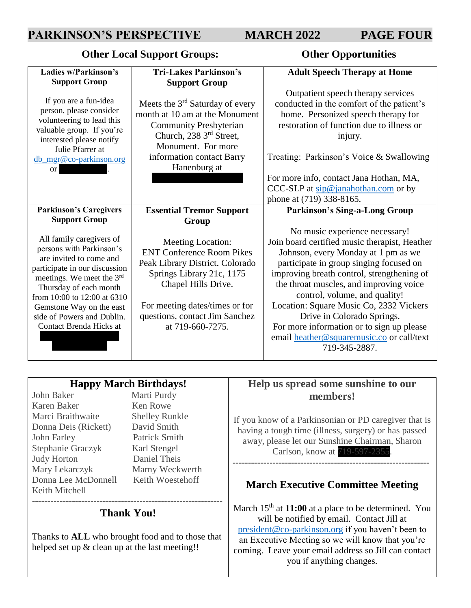### **PARKINSON'S PERSPECTIVE MARCH 2022 PAGE FOUR**

#### **Other Local Support Groups: Other Opportunities**

| <b>Ladies w/Parkinson's</b>                                                                                                                                                                                                                                                                 | <b>Tri-Lakes Parkinson's</b>                                                                                                                                                                                                         | <b>Adult Speech Therapy at Home</b>                                                                                                                                                                                                                                                                                                                                                                                                                                             |
|---------------------------------------------------------------------------------------------------------------------------------------------------------------------------------------------------------------------------------------------------------------------------------------------|--------------------------------------------------------------------------------------------------------------------------------------------------------------------------------------------------------------------------------------|---------------------------------------------------------------------------------------------------------------------------------------------------------------------------------------------------------------------------------------------------------------------------------------------------------------------------------------------------------------------------------------------------------------------------------------------------------------------------------|
| <b>Support Group</b>                                                                                                                                                                                                                                                                        | <b>Support Group</b>                                                                                                                                                                                                                 |                                                                                                                                                                                                                                                                                                                                                                                                                                                                                 |
| If you are a fun-idea<br>person, please consider<br>volunteering to lead this<br>valuable group. If you're<br>interested please notify<br>Julie Pfarrer at<br>db_mgr@co-parkinson.org<br><b>or</b>                                                                                          | Meets the $3rd$ Saturday of every<br>month at 10 am at the Monument<br><b>Community Presbyterian</b><br>Church, 238 3 <sup>rd</sup> Street,<br>Monument. For more<br>information contact Barry<br>Hanenburg at                       | Outpatient speech therapy services<br>conducted in the comfort of the patient's<br>home. Personized speech therapy for<br>restoration of function due to illness or<br>injury.<br>Treating: Parkinson's Voice & Swallowing<br>For more info, contact Jana Hothan, MA,<br>CCC-SLP at $\sin @$ janahothan.com or by                                                                                                                                                               |
|                                                                                                                                                                                                                                                                                             |                                                                                                                                                                                                                                      | phone at (719) 338-8165.                                                                                                                                                                                                                                                                                                                                                                                                                                                        |
| <b>Parkinson's Caregivers</b>                                                                                                                                                                                                                                                               | <b>Essential Tremor Support</b>                                                                                                                                                                                                      | <b>Parkinson's Sing-a-Long Group</b>                                                                                                                                                                                                                                                                                                                                                                                                                                            |
| <b>Support Group</b>                                                                                                                                                                                                                                                                        | Group                                                                                                                                                                                                                                |                                                                                                                                                                                                                                                                                                                                                                                                                                                                                 |
| All family caregivers of<br>persons with Parkinson's<br>are invited to come and<br>participate in our discussion<br>meetings. We meet the 3rd<br>Thursday of each month<br>from 10:00 to 12:00 at 6310<br>Gemstone Way on the east<br>side of Powers and Dublin.<br>Contact Brenda Hicks at | Meeting Location:<br><b>ENT Conference Room Pikes</b><br>Peak Library District. Colorado<br>Springs Library 21c, 1175<br>Chapel Hills Drive.<br>For meeting dates/times or for<br>questions, contact Jim Sanchez<br>at 719-660-7275. | No music experience necessary!<br>Join board certified music therapist, Heather<br>Johnson, every Monday at 1 pm as we<br>participate in group singing focused on<br>improving breath control, strengthening of<br>the throat muscles, and improving voice<br>control, volume, and quality!<br>Location: Square Music Co, 2332 Vickers<br>Drive in Colorado Springs.<br>For more information or to sign up please<br>email heather@squaremusic.co or call/text<br>719-345-2887. |

#### **Happy March Birthdays!**

John Baker Marti Purdy Karen Baker Ken Rowe Marci Braithwaite Shelley Runkle Donna Deis (Rickett) David Smith John Farley Patrick Smith Stephanie Graczyk Karl Stengel Judy Horton Daniel Theis Mary Lekarczyk Marny Weckwerth Donna Lee McDonnell Keith Woestehoff Keith Mitchell

#### -------------------------------------------------------------- **Thank You!**

Thanks to **ALL** who brought food and to those that helped set up & clean up at the last meeting!!

#### **Help us spread some sunshine to our members!**

If you know of a Parkinsonian or PD caregiver that is having a tough time (illness, surgery) or has passed away, please let our Sunshine Chairman, Sharon Carlson, know at 719-597-2355.

#### **March Executive Committee Meeting**

----------------------------------------------------------------

March 15<sup>th</sup> at **11:00** at a place to be determined. You will be notified by email. Contact Jill at [president@co-parkinson.org](mailto:president@co-parkinson.org) if you haven't been to an Executive Meeting so we will know that you're coming. Leave your email address so Jill can contact you if anything changes.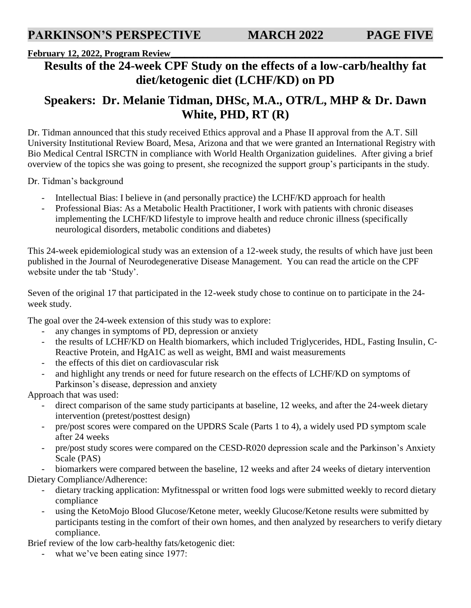#### **February 12, 2022, Program Review\_\_\_\_\_\_\_\_\_\_\_\_\_\_\_\_\_\_\_\_\_\_\_\_\_\_\_\_\_\_\_\_\_\_\_\_\_\_\_\_\_\_\_\_\_\_\_\_\_\_\_\_\_\_\_\_\_\_\_**

## **Results of the 24-week CPF Study on the effects of a low-carb/healthy fat diet/ketogenic diet (LCHF/KD) on PD**

## **Speakers: Dr. Melanie Tidman, DHSc, M.A., OTR/L, MHP & Dr. Dawn White, PHD, RT (R)**

Dr. Tidman announced that this study received Ethics approval and a Phase II approval from the A.T. Sill University Institutional Review Board, Mesa, Arizona and that we were granted an International Registry with Bio Medical Central ISRCTN in compliance with World Health Organization guidelines. After giving a brief overview of the topics she was going to present, she recognized the support group's participants in the study.

Dr. Tidman's background

- Intellectual Bias: I believe in (and personally practice) the LCHF/KD approach for health
- Professional Bias: As a Metabolic Health Practitioner, I work with patients with chronic diseases implementing the LCHF/KD lifestyle to improve health and reduce chronic illness (specifically neurological disorders, metabolic conditions and diabetes)

This 24-week epidemiological study was an extension of a 12-week study, the results of which have just been published in the Journal of Neurodegenerative Disease Management. You can read the article on the CPF website under the tab 'Study'.

Seven of the original 17 that participated in the 12-week study chose to continue on to participate in the 24 week study.

The goal over the 24-week extension of this study was to explore:

- any changes in symptoms of PD, depression or anxiety
- the results of LCHF/KD on Health biomarkers, which included Triglycerides, HDL, Fasting Insulin, C-Reactive Protein, and HgA1C as well as weight, BMI and waist measurements
- the effects of this diet on cardiovascular risk
- and highlight any trends or need for future research on the effects of LCHF/KD on symptoms of Parkinson's disease, depression and anxiety

Approach that was used:

- direct comparison of the same study participants at baseline, 12 weeks, and after the 24-week dietary intervention (pretest/posttest design)
- pre/post scores were compared on the UPDRS Scale (Parts 1 to 4), a widely used PD symptom scale after 24 weeks
- pre/post study scores were compared on the CESD-R020 depression scale and the Parkinson's Anxiety Scale (PAS)

biomarkers were compared between the baseline, 12 weeks and after 24 weeks of dietary intervention Dietary Compliance/Adherence:

- dietary tracking application: Myfitnesspal or written food logs were submitted weekly to record dietary compliance
- using the KetoMojo Blood Glucose/Ketone meter, weekly Glucose/Ketone results were submitted by participants testing in the comfort of their own homes, and then analyzed by researchers to verify dietary compliance.

Brief review of the low carb-healthy fats/ketogenic diet:

what we've been eating since 1977: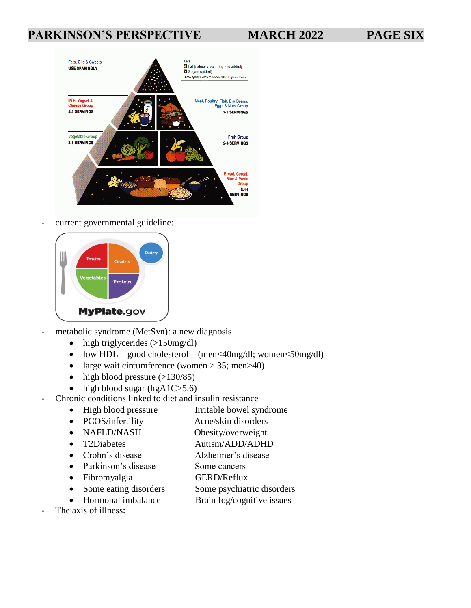## **PARKINSON'S PERSPECTIVE MARCH 2022 PAGE SIX**



current governmental guideline:



- metabolic syndrome (MetSyn): a new diagnosis
	- $\bullet$  high triglycerides (>150mg/dl)
	- low  $HDL good cholesterol (men < 40mg/dl; women < 50mg/dl)$
	- large wait circumference (women  $> 35$ ; men $> 40$ )
	- high blood pressure  $(>130/85)$
	- high blood sugar (hg $A1C>5.6$ )
- Chronic conditions linked to diet and insulin resistance
	- High blood pressure Irritable bowel syndrome
	- PCOS/infertility Acne/skin disorders
	- NAFLD/NASH Obesity/overweight
	- T2Diabetes Autism/ADD/ADHD
	- Crohn's disease Alzheimer's disease
	- Parkinson's disease Some cancers
		-
	- Fibromyalgia GERD/Reflux
	- Some eating disorders Some psychiatric disorders
	- Hormonal imbalance Brain fog/cognitive issues
- The axis of illness: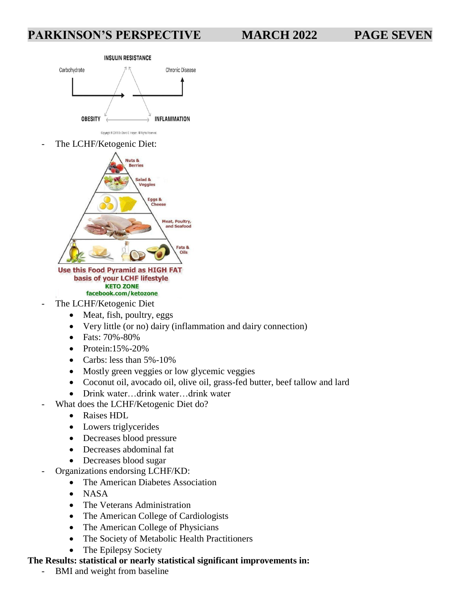#### **PARKINSON'S PERSPECTIVE MARCH 2022 PAGE SEVEN**

#### **INSULIN RESISTANCE**



The LCHF/Ketogenic Diet:



#### Use this Food Pyramid as HIGH FAT basis of your LCHF lifestyle **KETO ZONE** facebook.com/ketozone

- The LCHF/Ketogenic Diet
	- Meat, fish, poultry, eggs
	- Very little (or no) dairy (inflammation and dairy connection)
	- Fats: 70%-80%
	- Protein: $15% 20%$
	- Carbs: less than 5%-10%
	- Mostly green veggies or low glycemic veggies
	- Coconut oil, avocado oil, olive oil, grass-fed butter, beef tallow and lard
	- Drink water…drink water…drink water
- What does the LCHF/Ketogenic Diet do?
	- Raises HDL
	- Lowers triglycerides
	- Decreases blood pressure
	- Decreases abdominal fat
	- Decreases blood sugar
- Organizations endorsing LCHF/KD:
	- The American Diabetes Association
	- NASA
	- The Veterans Administration
	- The American College of Cardiologists
	- The American College of Physicians
	- The Society of Metabolic Health Practitioners
	- The Epilepsy Society

#### **The Results: statistical or nearly statistical significant improvements in:**

- BMI and weight from baseline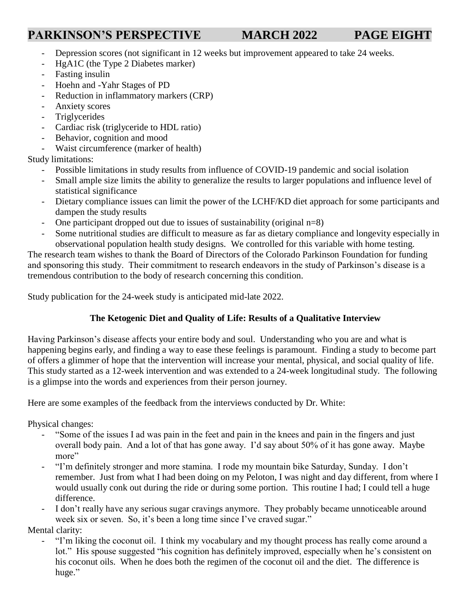## **PARKINSON'S PERSPECTIVE MARCH 2022 PAGE EIGHT**

- Depression scores (not significant in 12 weeks but improvement appeared to take 24 weeks.
- HgA1C (the Type 2 Diabetes marker)
- Fasting insulin
- Hoehn and -Yahr Stages of PD
- Reduction in inflammatory markers (CRP)
- Anxiety scores
- Triglycerides
- Cardiac risk (triglyceride to HDL ratio)
- Behavior, cognition and mood
- Waist circumference (marker of health)

Study limitations:

- Possible limitations in study results from influence of COVID-19 pandemic and social isolation
- Small ample size limits the ability to generalize the results to larger populations and influence level of statistical significance
- Dietary compliance issues can limit the power of the LCHF/KD diet approach for some participants and dampen the study results
- One participant dropped out due to issues of sustainability (original  $n=8$ )
- Some nutritional studies are difficult to measure as far as dietary compliance and longevity especially in observational population health study designs. We controlled for this variable with home testing.

The research team wishes to thank the Board of Directors of the Colorado Parkinson Foundation for funding and sponsoring this study. Their commitment to research endeavors in the study of Parkinson's disease is a tremendous contribution to the body of research concerning this condition.

Study publication for the 24-week study is anticipated mid-late 2022.

#### **The Ketogenic Diet and Quality of Life: Results of a Qualitative Interview**

Having Parkinson's disease affects your entire body and soul. Understanding who you are and what is happening begins early, and finding a way to ease these feelings is paramount. Finding a study to become part of offers a glimmer of hope that the intervention will increase your mental, physical, and social quality of life. This study started as a 12-week intervention and was extended to a 24-week longitudinal study. The following is a glimpse into the words and experiences from their person journey.

Here are some examples of the feedback from the interviews conducted by Dr. White:

Physical changes:

- "Some of the issues I ad was pain in the feet and pain in the knees and pain in the fingers and just overall body pain. And a lot of that has gone away. I'd say about 50% of it has gone away. Maybe more"
- "I'm definitely stronger and more stamina. I rode my mountain bike Saturday, Sunday. I don't remember. Just from what I had been doing on my Peloton, I was night and day different, from where I would usually conk out during the ride or during some portion. This routine I had; I could tell a huge difference.
- I don't really have any serious sugar cravings anymore. They probably became unnoticeable around week six or seven. So, it's been a long time since I've craved sugar."

Mental clarity:

"I'm liking the coconut oil. I think my vocabulary and my thought process has really come around a lot." His spouse suggested "his cognition has definitely improved, especially when he's consistent on his coconut oils. When he does both the regimen of the coconut oil and the diet. The difference is huge."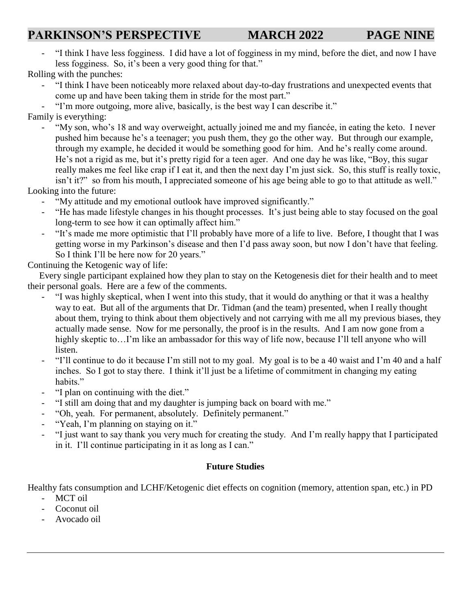## PARKINSON'S PERSPECTIVE MARCH 2022 PAGE NINE

- "I think I have less fogginess. I did have a lot of fogginess in my mind, before the diet, and now I have less fogginess. So, it's been a very good thing for that."

Rolling with the punches:

- "I think I have been noticeably more relaxed about day-to-day frustrations and unexpected events that come up and have been taking them in stride for the most part."
- "I'm more outgoing, more alive, basically, is the best way I can describe it."

Family is everything:

"My son, who's 18 and way overweight, actually joined me and my fiancée, in eating the keto. I never pushed him because he's a teenager; you push them, they go the other way. But through our example, through my example, he decided it would be something good for him. And he's really come around. He's not a rigid as me, but it's pretty rigid for a teen ager. And one day he was like, "Boy, this sugar really makes me feel like crap if I eat it, and then the next day I'm just sick. So, this stuff is really toxic, isn't it?" so from his mouth, I appreciated someone of his age being able to go to that attitude as well."

Looking into the future:

- "My attitude and my emotional outlook have improved significantly."
- "He has made lifestyle changes in his thought processes. It's just being able to stay focused on the goal long-term to see how it can optimally affect him."
- "It's made me more optimistic that I'll probably have more of a life to live. Before, I thought that I was getting worse in my Parkinson's disease and then I'd pass away soon, but now I don't have that feeling. So I think I'll be here now for 20 years."

Continuing the Ketogenic way of life:

 Every single participant explained how they plan to stay on the Ketogenesis diet for their health and to meet their personal goals. Here are a few of the comments.

- "I was highly skeptical, when I went into this study, that it would do anything or that it was a healthy way to eat. But all of the arguments that Dr. Tidman (and the team) presented, when I really thought about them, trying to think about them objectively and not carrying with me all my previous biases, they actually made sense. Now for me personally, the proof is in the results. And I am now gone from a highly skeptic to...I'm like an ambassador for this way of life now, because I'll tell anyone who will listen.
- "I'll continue to do it because I'm still not to my goal. My goal is to be a 40 waist and I'm 40 and a half inches. So I got to stay there. I think it'll just be a lifetime of commitment in changing my eating habits."
- "I plan on continuing with the diet."
- "I still am doing that and my daughter is jumping back on board with me."
- "Oh, yeah. For permanent, absolutely. Definitely permanent."
- "Yeah, I'm planning on staying on it."
- "I just want to say thank you very much for creating the study. And I'm really happy that I participated in it. I'll continue participating in it as long as I can."

#### **Future Studies**

Healthy fats consumption and LCHF/Ketogenic diet effects on cognition (memory, attention span, etc.) in PD

- MCT oil
- Coconut oil
- Avocado oil